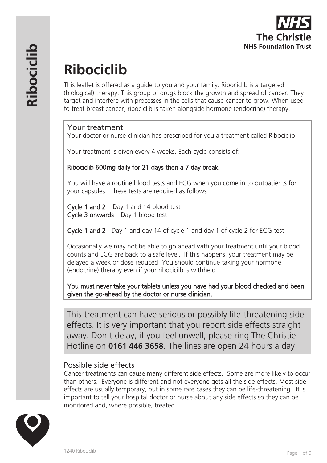

# **Ribociclib**

This leaflet is offered as a guide to you and your family. Ribociclib is a targeted (biological) therapy. This group of drugs block the growth and spread of cancer. They target and interfere with processes in the cells that cause cancer to grow. When used to treat breast cancer, ribociclib is taken alongside hormone (endocrine) therapy.

# Your treatment

Your doctor or nurse clinician has prescribed for you a treatment called Ribociclib.

Your treatment is given every 4 weeks. Each cycle consists of:

# Ribociclib 600mg daily for 21 days then a 7 day break

You will have a routine blood tests and ECG when you come in to outpatients for your capsules. These tests are required as follows:

Cycle 1 and 2 – Day 1 and 14 blood test Cycle 3 onwards – Day 1 blood test

Cycle 1 and 2 - Day 1 and day 14 of cycle 1 and day 1 of cycle 2 for ECG test

Occasionally we may not be able to go ahead with your treatment until your blood counts and ECG are back to a safe level. If this happens, your treatment may be delayed a week or dose reduced. You should continue taking your hormone (endocrine) therapy even if your ribocicilb is withheld.

You must never take your tablets unless you have had your blood checked and been given the go-ahead by the doctor or nurse clinician.

This treatment can have serious or possibly life-threatening side effects. It is very important that you report side effects straight away. Don't delay, if you feel unwell, please ring The Christie Hotline on **0161 446 3658**. The lines are open 24 hours a day.

# Possible side effects

Cancer treatments can cause many different side effects. Some are more likely to occur than others. Everyone is different and not everyone gets all the side effects. Most side effects are usually temporary, but in some rare cases they can be life-threatening. It is important to tell your hospital doctor or nurse about any side effects so they can be monitored and, where possible, treated.

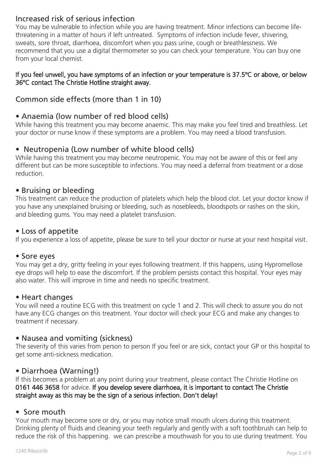# Increased risk of serious infection

You may be vulnerable to infection while you are having treatment. Minor infections can become lifethreatening in a matter of hours if left untreated. Symptoms of infection include fever, shivering, sweats, sore throat, diarrhoea, discomfort when you pass urine, cough or breathlessness. We recommend that you use a digital thermometer so you can check your temperature. You can buy one from your local chemist.

#### If you feel unwell, you have symptoms of an infection or your temperature is 37.5ºC or above, or below 36ºC contact The Christie Hotline straight away.

# Common side effects (more than 1 in 10)

# • Anaemia (low number of red blood cells)

While having this treatment you may become anaemic. This may make you feel tired and breathless. Let your doctor or nurse know if these symptoms are a problem. You may need a blood transfusion.

# • Neutropenia (Low number of white blood cells)

While having this treatment you may become neutropenic. You may not be aware of this or feel any different but can be more susceptible to infections. You may need a deferral from treatment or a dose reduction.

# • Bruising or bleeding

This treatment can reduce the production of platelets which help the blood clot. Let your doctor know if you have any unexplained bruising or bleeding, such as nosebleeds, bloodspots or rashes on the skin, and bleeding gums. You may need a platelet transfusion.

#### • Loss of appetite

If you experience a loss of appetite, please be sure to tell your doctor or nurse at your next hospital visit.

#### • Sore eyes

You may get a dry, gritty feeling in your eyes following treatment. If this happens, using Hypromellose eye drops will help to ease the discomfort. If the problem persists contact this hospital. Your eyes may also water. This will improve in time and needs no specific treatment.

#### • Heart changes

You will need a routine ECG with this treatment on cycle 1 and 2. This will check to assure you do not have any ECG changes on this treatment. Your doctor will check your ECG and make any changes to treatment if necessary.

# • Nausea and vomiting (sickness)

The severity of this varies from person to person If you feel or are sick, contact your GP or this hospital to get some anti-sickness medication.

# • Diarrhoea (Warning!)

If this becomes a problem at any point during your treatment, please contact The Christie Hotline on 0161 446 3658 for advice. If you develop severe diarrhoea, it is important to contact The Christie straight away as this may be the sign of a serious infection. Don't delay!

#### • Sore mouth

Your mouth may become sore or dry, or you may notice small mouth ulcers during this treatment. Drinking plenty of fluids and cleaning your teeth regularly and gently with a soft toothbrush can help to reduce the risk of this happening. we can prescribe a mouthwash for you to use during treatment. You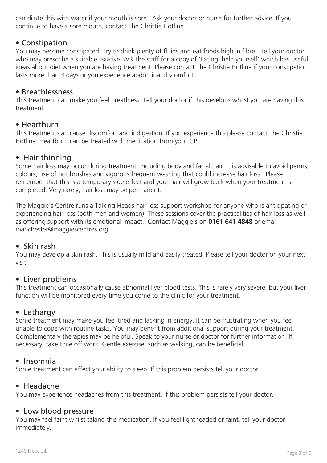can dilute this with water if your mouth is sore. Ask your doctor or nurse for further advice. If you continue to have a sore mouth, contact The Christie Hotline.

# • Constipation

You may become constipated. Try to drink plenty of fluids and eat foods high in fibre. Tell your doctor who may prescribe a suitable laxative. Ask the staff for a copy of 'Eating: help yourself' which has useful ideas about diet when you are having treatment. Please contact The Christie Hotline if your constipation lasts more than 3 days or you experience abdominal discomfort.

#### • Breathlessness

This treatment can make you feel breathless. Tell your doctor if this develops whilst you are having this treatment.

#### • Heartburn

This treatment can cause discomfort and indigestion. If you experience this please contact The Christie Hotline. Heartburn can be treated with medication from your GP.

# • Hair thinning

Some hair loss may occur during treatment, including body and facial hair. It is advisable to avoid perms, colours, use of hot brushes and vigorous frequent washing that could increase hair loss. Please remember that this is a temporary side effect and your hair will grow back when your treatment is completed. Very rarely, hair loss may be permanent.

The Maggie's Centre runs a Talking Heads hair loss support workshop for anyone who is anticipating or experiencing hair loss (both men and women). These sessions cover the practicalities of hair loss as well as offering support with its emotional impact. Contact Maggie's on 0161 641 4848 or email manchester@maggiescentres.org

#### • Skin rash

You may develop a skin rash. This is usually mild and easily treated. Please tell your doctor on your next visit.

# • Liver problems

This treatment can occasionally cause abnormal liver blood tests. This is rarely very severe, but your liver function will be monitored every time you come to the clinic for your treatment.

# • Lethargy

Some treatment may make you feel tired and lacking in energy. It can be frustrating when you feel unable to cope with routine tasks. You may benefit from additional support during your treatment. Complementary therapies may be helpful. Speak to your nurse or doctor for further information. If necessary, take time off work. Gentle exercise, such as walking, can be beneficial.

#### • Insomnia

Some treatment can affect your ability to sleep. If this problem persists tell your doctor.

#### • Headache

You may experience headaches from this treatment. If this problem persists tell your doctor.

#### • Low blood pressure

You may feel faint whilst taking this medication. If you feel lightheaded or faint, tell your doctor immediately.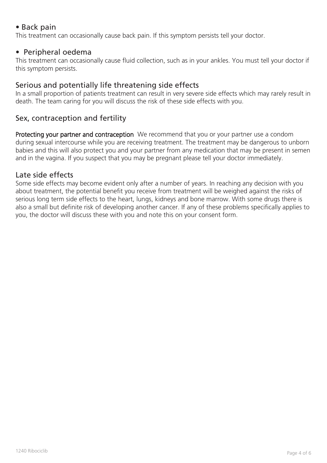# • Back pain

This treatment can occasionally cause back pain. If this symptom persists tell your doctor.

# • Peripheral oedema

This treatment can occasionally cause fluid collection, such as in your ankles. You must tell your doctor if this symptom persists.

# Serious and potentially life threatening side effects

In a small proportion of patients treatment can result in very severe side effects which may rarely result in death. The team caring for you will discuss the risk of these side effects with you.

# Sex, contraception and fertility

Protecting your partner and contraception We recommend that you or your partner use a condom during sexual intercourse while you are receiving treatment. The treatment may be dangerous to unborn babies and this will also protect you and your partner from any medication that may be present in semen and in the vagina. If you suspect that you may be pregnant please tell your doctor immediately.

# Late side effects

Some side effects may become evident only after a number of years. In reaching any decision with you about treatment, the potential benefit you receive from treatment will be weighed against the risks of serious long term side effects to the heart, lungs, kidneys and bone marrow. With some drugs there is also a small but definite risk of developing another cancer. If any of these problems specifically applies to you, the doctor will discuss these with you and note this on your consent form.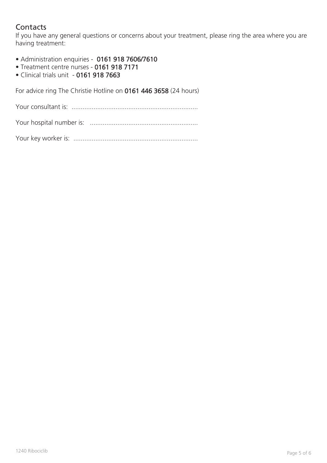# **Contacts**

If you have any general questions or concerns about your treatment, please ring the area where you are having treatment:

- Administration enquiries 0161 918 7606/7610
- Treatment centre nurses 0161 918 7171
- Clinical trials unit 0161 918 7663

For advice ring The Christie Hotline on 0161 446 3658 (24 hours)

Your consultant is: .....................................................................

Your hospital number is: ...........................................................

Your key worker is: ....................................................................